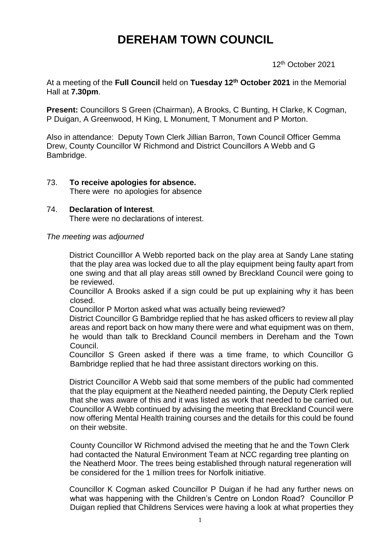# **DEREHAM TOWN COUNCIL**

12th October 2021

At a meeting of the **Full Council** held on **Tuesday 12 th October 2021** in the Memorial Hall at **7.30pm**.

**Present:** Councillors S Green (Chairman), A Brooks, C Bunting, H Clarke, K Cogman, P Duigan, A Greenwood, H King, L Monument, T Monument and P Morton.

Also in attendance: Deputy Town Clerk Jillian Barron, Town Council Officer Gemma Drew, County Councillor W Richmond and District Councillors A Webb and G Bambridge.

73. **To receive apologies for absence.** There were no apologies for absence

## 74. **Declaration of Interest**.

There were no declarations of interest.

*The meeting was adjourned*

District Councilllor A Webb reported back on the play area at Sandy Lane stating that the play area was locked due to all the play equipment being faulty apart from one swing and that all play areas still owned by Breckland Council were going to be reviewed.

Councillor A Brooks asked if a sign could be put up explaining why it has been closed.

Councillor P Morton asked what was actually being reviewed?

District Councillor G Bambridge replied that he has asked officers to review all play areas and report back on how many there were and what equipment was on them, he would than talk to Breckland Council members in Dereham and the Town Council.

Councillor S Green asked if there was a time frame, to which Councillor G Bambridge replied that he had three assistant directors working on this.

District Councillor A Webb said that some members of the public had commented that the play equipment at the Neatherd needed painting, the Deputy Clerk replied that she was aware of this and it was listed as work that needed to be carried out. Councillor A Webb continued by advising the meeting that Breckland Council were now offering Mental Health training courses and the details for this could be found on their website.

County Councillor W Richmond advised the meeting that he and the Town Clerk had contacted the Natural Environment Team at NCC regarding tree planting on the Neatherd Moor. The trees being established through natural regeneration will be considered for the 1 million trees for Norfolk initiative.

Councillor K Cogman asked Councillor P Duigan if he had any further news on what was happening with the Children's Centre on London Road? Councillor P Duigan replied that Childrens Services were having a look at what properties they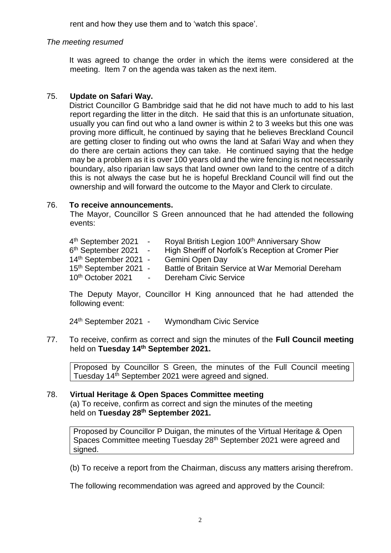rent and how they use them and to 'watch this space'.

## *The meeting resumed*

It was agreed to change the order in which the items were considered at the meeting. Item 7 on the agenda was taken as the next item.

## 75. **Update on Safari Way.**

District Councillor G Bambridge said that he did not have much to add to his last report regarding the litter in the ditch. He said that this is an unfortunate situation, usually you can find out who a land owner is within 2 to 3 weeks but this one was proving more difficult, he continued by saying that he believes Breckland Council are getting closer to finding out who owns the land at Safari Way and when they do there are certain actions they can take. He continued saying that the hedge may be a problem as it is over 100 years old and the wire fencing is not necessarily boundary, also riparian law says that land owner own land to the centre of a ditch this is not always the case but he is hopeful Breckland Council will find out the ownership and will forward the outcome to the Mayor and Clerk to circulate.

## 76. **To receive announcements.**

The Mayor, Councillor S Green announced that he had attended the following events:

| 4 <sup>th</sup> September 2021    | المناسب المتعادل | Royal British Legion 100 <sup>th</sup> Anniversary Show |
|-----------------------------------|------------------|---------------------------------------------------------|
| 6 <sup>th</sup> September 2021 -  |                  | High Sheriff of Norfolk's Reception at Cromer Pier      |
| 14th September 2021 -             |                  | Gemini Open Day                                         |
| 15 <sup>th</sup> September 2021 - |                  | Battle of Britain Service at War Memorial Dereham       |
| 10 <sup>th</sup> October 2021     | $\sim$ $-$       | <b>Dereham Civic Service</b>                            |

The Deputy Mayor, Councillor H King announced that he had attended the following event:

24th September 2021 - Wymondham Civic Service

77. To receive, confirm as correct and sign the minutes of the **Full Council meeting** held on **Tuesday 14th September 2021.**

Proposed by Councillor S Green, the minutes of the Full Council meeting Tuesday 14th September 2021 were agreed and signed.

## 78. **Virtual Heritage & Open Spaces Committee meeting** (a) To receive, confirm as correct and sign the minutes of the meeting held on **Tuesday 28th September 2021.**

Proposed by Councillor P Duigan, the minutes of the Virtual Heritage & Open Spaces Committee meeting Tuesday 28<sup>th</sup> September 2021 were agreed and signed.

(b) To receive a report from the Chairman, discuss any matters arising therefrom.

The following recommendation was agreed and approved by the Council: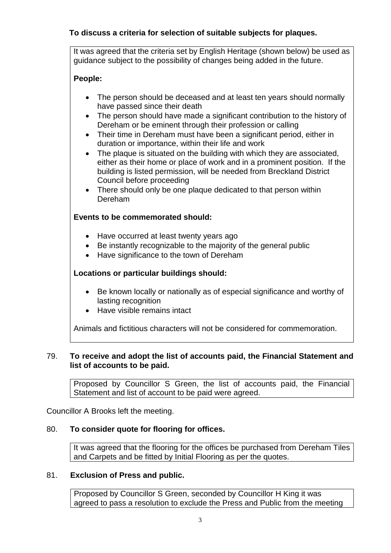# **To discuss a criteria for selection of suitable subjects for plaques.**

It was agreed that the criteria set by English Heritage (shown below) be used as guidance subject to the possibility of changes being added in the future.

# **People:**

- The person should be deceased and at least ten years should normally have passed since their death
- The person should have made a significant contribution to the history of Dereham or be eminent through their profession or calling
- Their time in Dereham must have been a significant period, either in duration or importance, within their life and work
- The plaque is situated on the building with which they are associated, either as their home or place of work and in a prominent position. If the building is listed permission, will be needed from Breckland District Council before proceeding
- There should only be one plaque dedicated to that person within Dereham

## **Events to be commemorated should:**

- Have occurred at least twenty years ago
- Be instantly recognizable to the majority of the general public
- Have significance to the town of Dereham

# **Locations or particular buildings should:**

- Be known locally or nationally as of especial significance and worthy of lasting recognition
- Have visible remains intact

Animals and fictitious characters will not be considered for commemoration.

## 79. **To receive and adopt the list of accounts paid, the Financial Statement and list of accounts to be paid.**

Proposed by Councillor S Green, the list of accounts paid, the Financial Statement and list of account to be paid were agreed.

Councillor A Brooks left the meeting.

## 80. **To consider quote for flooring for offices.**

It was agreed that the flooring for the offices be purchased from Dereham Tiles and Carpets and be fitted by Initial Flooring as per the quotes.

## 81. **Exclusion of Press and public.**

Proposed by Councillor S Green, seconded by Councillor H King it was agreed to pass a resolution to exclude the Press and Public from the meeting